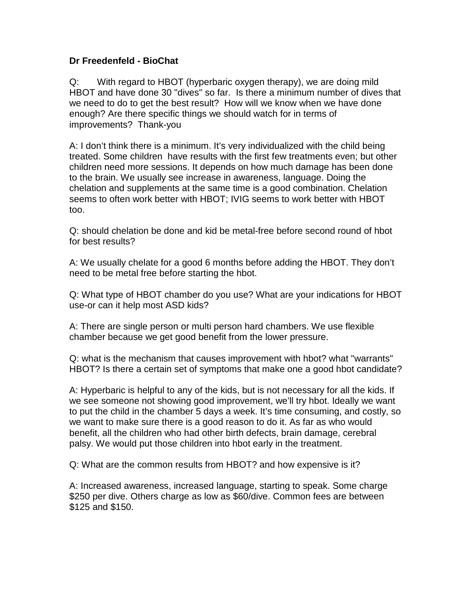## **Dr Freedenfeld - BioChat**

Q: With regard to HBOT (hyperbaric oxygen therapy), we are doing mild HBOT and have done 30 "dives" so far. Is there a minimum number of dives that we need to do to get the best result? How will we know when we have done enough? Are there specific things we should watch for in terms of improvements? Thank-you

A: I don't think there is a minimum. It's very individualized with the child being treated. Some children have results with the first few treatments even; but other children need more sessions. It depends on how much damage has been done to the brain. We usually see increase in awareness, language. Doing the chelation and supplements at the same time is a good combination. Chelation seems to often work better with HBOT; IVIG seems to work better with HBOT too.

Q: should chelation be done and kid be metal-free before second round of hbot for best results?

A: We usually chelate for a good 6 months before adding the HBOT. They don't need to be metal free before starting the hbot.

Q: What type of HBOT chamber do you use? What are your indications for HBOT use-or can it help most ASD kids?

A: There are single person or multi person hard chambers. We use flexible chamber because we get good benefit from the lower pressure.

Q: what is the mechanism that causes improvement with hbot? what "warrants" HBOT? Is there a certain set of symptoms that make one a good hbot candidate?

A: Hyperbaric is helpful to any of the kids, but is not necessary for all the kids. If we see someone not showing good improvement, we'll try hbot. Ideally we want to put the child in the chamber 5 days a week. It's time consuming, and costly, so we want to make sure there is a good reason to do it. As far as who would benefit, all the children who had other birth defects, brain damage, cerebral palsy. We would put those children into hbot early in the treatment.

Q: What are the common results from HBOT? and how expensive is it?

A: Increased awareness, increased language, starting to speak. Some charge \$250 per dive. Others charge as low as \$60/dive. Common fees are between \$125 and \$150.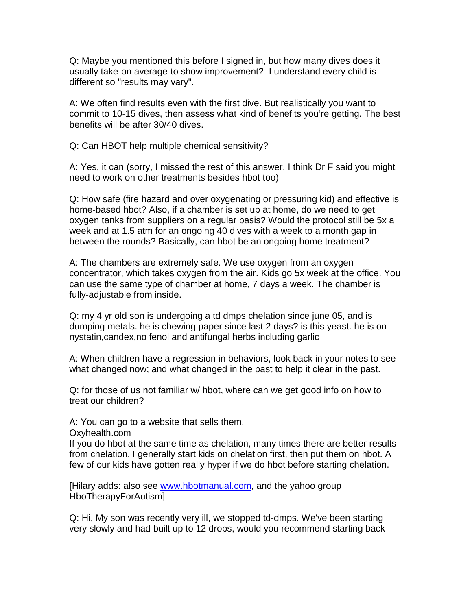Q: Maybe you mentioned this before I signed in, but how many dives does it usually take-on average-to show improvement? I understand every child is different so "results may vary".

A: We often find results even with the first dive. But realistically you want to commit to 10-15 dives, then assess what kind of benefits you're getting. The best benefits will be after 30/40 dives.

Q: Can HBOT help multiple chemical sensitivity?

A: Yes, it can (sorry, I missed the rest of this answer, I think Dr F said you might need to work on other treatments besides hbot too)

Q: How safe (fire hazard and over oxygenating or pressuring kid) and effective is home-based hbot? Also, if a chamber is set up at home, do we need to get oxygen tanks from suppliers on a regular basis? Would the protocol still be 5x a week and at 1.5 atm for an ongoing 40 dives with a week to a month gap in between the rounds? Basically, can hbot be an ongoing home treatment?

A: The chambers are extremely safe. We use oxygen from an oxygen concentrator, which takes oxygen from the air. Kids go 5x week at the office. You can use the same type of chamber at home, 7 days a week. The chamber is fully-adjustable from inside.

Q: my 4 yr old son is undergoing a td dmps chelation since june 05, and is dumping metals. he is chewing paper since last 2 days? is this yeast. he is on nystatin,candex,no fenol and antifungal herbs including garlic

A: When children have a regression in behaviors, look back in your notes to see what changed now; and what changed in the past to help it clear in the past.

Q: for those of us not familiar w/ hbot, where can we get good info on how to treat our children?

A: You can go to a website that sells them.

Oxyhealth.com

If you do hbot at the same time as chelation, many times there are better results from chelation. I generally start kids on chelation first, then put them on hbot. A few of our kids have gotten really hyper if we do hbot before starting chelation.

[Hilary adds: also see [www.hbotmanual.com,](http://www.hbotmanual.com/) and the yahoo group HboTherapyForAutism]

Q: Hi, My son was recently very ill, we stopped td-dmps. We've been starting very slowly and had built up to 12 drops, would you recommend starting back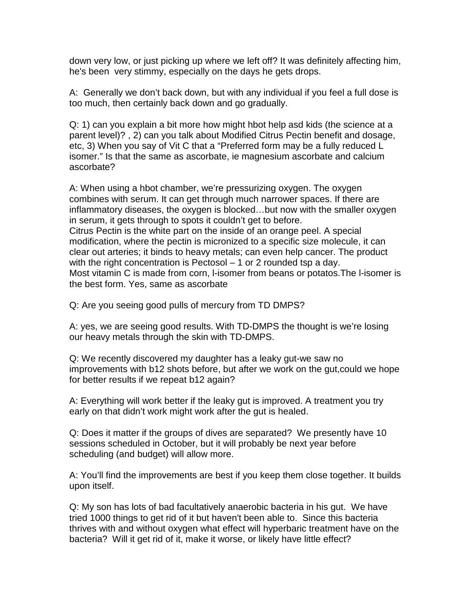down very low, or just picking up where we left off? It was definitely affecting him, he's been very stimmy, especially on the days he gets drops.

A: Generally we don't back down, but with any individual if you feel a full dose is too much, then certainly back down and go gradually.

Q: 1) can you explain a bit more how might hbot help asd kids (the science at a parent level)? , 2) can you talk about Modified Citrus Pectin benefit and dosage, etc, 3) When you say of Vit C that a "Preferred form may be a fully reduced L isomer." Is that the same as ascorbate, ie magnesium ascorbate and calcium ascorbate?

A: When using a hbot chamber, we're pressurizing oxygen. The oxygen combines with serum. It can get through much narrower spaces. If there are inflammatory diseases, the oxygen is blocked…but now with the smaller oxygen in serum, it gets through to spots it couldn't get to before. Citrus Pectin is the white part on the inside of an orange peel. A special modification, where the pectin is micronized to a specific size molecule, it can clear out arteries; it binds to heavy metals; can even help cancer. The product with the right concentration is Pectosol – 1 or 2 rounded tsp a day. Most vitamin C is made from corn, l-isomer from beans or potatos.The l-isomer is the best form. Yes, same as ascorbate

Q: Are you seeing good pulls of mercury from TD DMPS?

A: yes, we are seeing good results. With TD-DMPS the thought is we're losing our heavy metals through the skin with TD-DMPS.

Q: We recently discovered my daughter has a leaky gut-we saw no improvements with b12 shots before, but after we work on the gut,could we hope for better results if we repeat b12 again?

A: Everything will work better if the leaky gut is improved. A treatment you try early on that didn't work might work after the gut is healed.

Q: Does it matter if the groups of dives are separated? We presently have 10 sessions scheduled in October, but it will probably be next year before scheduling (and budget) will allow more.

A: You'll find the improvements are best if you keep them close together. It builds upon itself.

Q: My son has lots of bad facultatively anaerobic bacteria in his gut. We have tried 1000 things to get rid of it but haven't been able to. Since this bacteria thrives with and without oxygen what effect will hyperbaric treatment have on the bacteria? Will it get rid of it, make it worse, or likely have little effect?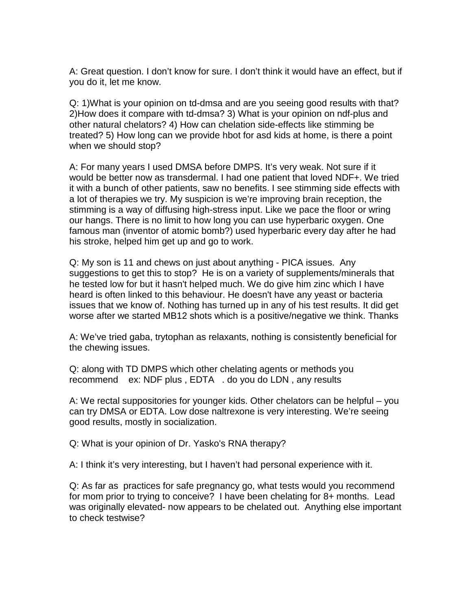A: Great question. I don't know for sure. I don't think it would have an effect, but if you do it, let me know.

Q: 1)What is your opinion on td-dmsa and are you seeing good results with that? 2)How does it compare with td-dmsa? 3) What is your opinion on ndf-plus and other natural chelators? 4) How can chelation side-effects like stimming be treated? 5) How long can we provide hbot for asd kids at home, is there a point when we should stop?

A: For many years I used DMSA before DMPS. It's very weak. Not sure if it would be better now as transdermal. I had one patient that loved NDF+. We tried it with a bunch of other patients, saw no benefits. I see stimming side effects with a lot of therapies we try. My suspicion is we're improving brain reception, the stimming is a way of diffusing high-stress input. Like we pace the floor or wring our hangs. There is no limit to how long you can use hyperbaric oxygen. One famous man (inventor of atomic bomb?) used hyperbaric every day after he had his stroke, helped him get up and go to work.

Q: My son is 11 and chews on just about anything - PICA issues. Any suggestions to get this to stop? He is on a variety of supplements/minerals that he tested low for but it hasn't helped much. We do give him zinc which I have heard is often linked to this behaviour. He doesn't have any yeast or bacteria issues that we know of. Nothing has turned up in any of his test results. It did get worse after we started MB12 shots which is a positive/negative we think. Thanks

A: We've tried gaba, trytophan as relaxants, nothing is consistently beneficial for the chewing issues.

Q: along with TD DMPS which other chelating agents or methods you recommend ex: NDF plus , EDTA . do you do LDN , any results

A: We rectal suppositories for younger kids. Other chelators can be helpful – you can try DMSA or EDTA. Low dose naltrexone is very interesting. We're seeing good results, mostly in socialization.

Q: What is your opinion of Dr. Yasko's RNA therapy?

A: I think it's very interesting, but I haven't had personal experience with it.

Q: As far as practices for safe pregnancy go, what tests would you recommend for mom prior to trying to conceive? I have been chelating for 8+ months. Lead was originally elevated- now appears to be chelated out. Anything else important to check testwise?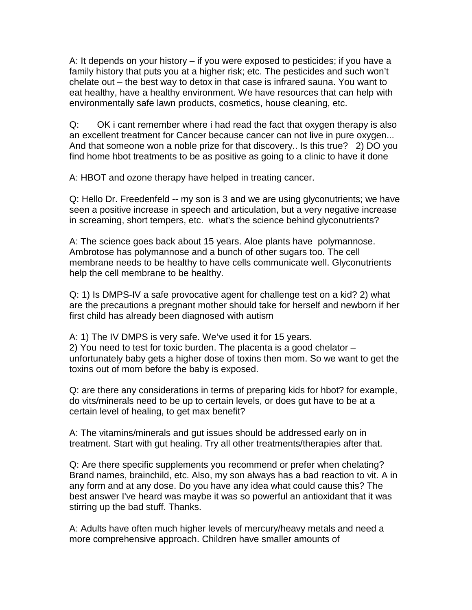A: It depends on your history – if you were exposed to pesticides; if you have a family history that puts you at a higher risk; etc. The pesticides and such won't chelate out – the best way to detox in that case is infrared sauna. You want to eat healthy, have a healthy environment. We have resources that can help with environmentally safe lawn products, cosmetics, house cleaning, etc.

Q: OK i cant remember where i had read the fact that oxygen therapy is also an excellent treatment for Cancer because cancer can not live in pure oxygen... And that someone won a noble prize for that discovery.. Is this true? 2) DO you find home hbot treatments to be as positive as going to a clinic to have it done

A: HBOT and ozone therapy have helped in treating cancer.

Q: Hello Dr. Freedenfeld -- my son is 3 and we are using glyconutrients; we have seen a positive increase in speech and articulation, but a very negative increase in screaming, short tempers, etc. what's the science behind glyconutrients?

A: The science goes back about 15 years. Aloe plants have polymannose. Ambrotose has polymannose and a bunch of other sugars too. The cell membrane needs to be healthy to have cells communicate well. Glyconutrients help the cell membrane to be healthy.

Q: 1) Is DMPS-IV a safe provocative agent for challenge test on a kid? 2) what are the precautions a pregnant mother should take for herself and newborn if her first child has already been diagnosed with autism

A: 1) The IV DMPS is very safe. We've used it for 15 years. 2) You need to test for toxic burden. The placenta is a good chelator – unfortunately baby gets a higher dose of toxins then mom. So we want to get the toxins out of mom before the baby is exposed.

Q: are there any considerations in terms of preparing kids for hbot? for example, do vits/minerals need to be up to certain levels, or does gut have to be at a certain level of healing, to get max benefit?

A: The vitamins/minerals and gut issues should be addressed early on in treatment. Start with gut healing. Try all other treatments/therapies after that.

Q: Are there specific supplements you recommend or prefer when chelating? Brand names, brainchild, etc. Also, my son always has a bad reaction to vit. A in any form and at any dose. Do you have any idea what could cause this? The best answer I've heard was maybe it was so powerful an antioxidant that it was stirring up the bad stuff. Thanks.

A: Adults have often much higher levels of mercury/heavy metals and need a more comprehensive approach. Children have smaller amounts of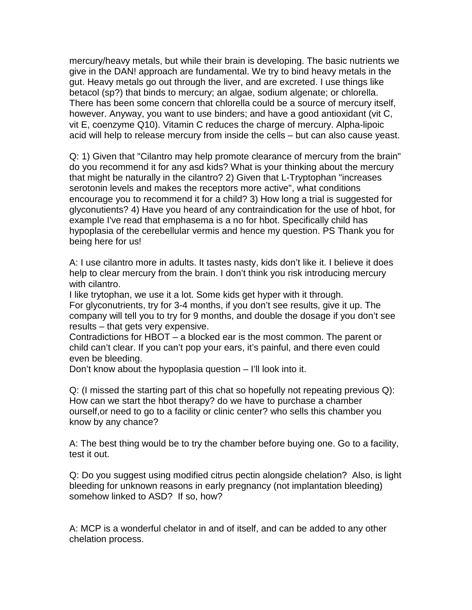mercury/heavy metals, but while their brain is developing. The basic nutrients we give in the DAN! approach are fundamental. We try to bind heavy metals in the gut. Heavy metals go out through the liver, and are excreted. I use things like betacol (sp?) that binds to mercury; an algae, sodium algenate; or chlorella. There has been some concern that chlorella could be a source of mercury itself, however. Anyway, you want to use binders; and have a good antioxidant (vit C, vit E, coenzyme Q10). Vitamin C reduces the charge of mercury. Alpha-lipoic acid will help to release mercury from inside the cells – but can also cause yeast.

Q: 1) Given that "Cilantro may help promote clearance of mercury from the brain" do you recommend it for any asd kids? What is your thinking about the mercury that might be naturally in the cilantro? 2) Given that L-Tryptophan "increases serotonin levels and makes the receptors more active", what conditions encourage you to recommend it for a child? 3) How long a trial is suggested for glyconutients? 4) Have you heard of any contraindication for the use of hbot, for example I've read that emphasema is a no for hbot. Specifically child has hypoplasia of the cerebellular vermis and hence my question. PS Thank you for being here for us!

A: I use cilantro more in adults. It tastes nasty, kids don't like it. I believe it does help to clear mercury from the brain. I don't think you risk introducing mercury with cilantro.

I like trytophan, we use it a lot. Some kids get hyper with it through.

For glyconutrients, try for 3-4 months, if you don't see results, give it up. The company will tell you to try for 9 months, and double the dosage if you don't see results – that gets very expensive.

Contradictions for HBOT – a blocked ear is the most common. The parent or child can't clear. If you can't pop your ears, it's painful, and there even could even be bleeding.

Don't know about the hypoplasia question – I'll look into it.

Q: (I missed the starting part of this chat so hopefully not repeating previous Q): How can we start the hbot therapy? do we have to purchase a chamber ourself,or need to go to a facility or clinic center? who sells this chamber you know by any chance?

A: The best thing would be to try the chamber before buying one. Go to a facility, test it out.

Q: Do you suggest using modified citrus pectin alongside chelation? Also, is light bleeding for unknown reasons in early pregnancy (not implantation bleeding) somehow linked to ASD? If so, how?

A: MCP is a wonderful chelator in and of itself, and can be added to any other chelation process.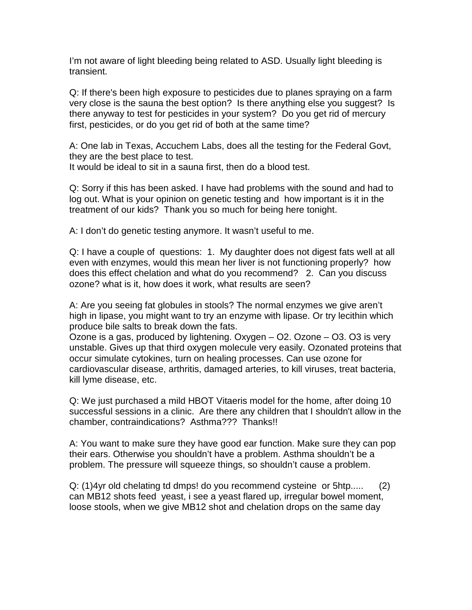I'm not aware of light bleeding being related to ASD. Usually light bleeding is transient.

Q: If there's been high exposure to pesticides due to planes spraying on a farm very close is the sauna the best option? Is there anything else you suggest? Is there anyway to test for pesticides in your system? Do you get rid of mercury first, pesticides, or do you get rid of both at the same time?

A: One lab in Texas, Accuchem Labs, does all the testing for the Federal Govt, they are the best place to test.

It would be ideal to sit in a sauna first, then do a blood test.

Q: Sorry if this has been asked. I have had problems with the sound and had to log out. What is your opinion on genetic testing and how important is it in the treatment of our kids? Thank you so much for being here tonight.

A: I don't do genetic testing anymore. It wasn't useful to me.

Q: I have a couple of questions: 1. My daughter does not digest fats well at all even with enzymes, would this mean her liver is not functioning properly? how does this effect chelation and what do you recommend? 2. Can you discuss ozone? what is it, how does it work, what results are seen?

A: Are you seeing fat globules in stools? The normal enzymes we give aren't high in lipase, you might want to try an enzyme with lipase. Or try lecithin which produce bile salts to break down the fats.

Ozone is a gas, produced by lightening. Oxygen – O2. Ozone – O3. O3 is very unstable. Gives up that third oxygen molecule very easily. Ozonated proteins that occur simulate cytokines, turn on healing processes. Can use ozone for cardiovascular disease, arthritis, damaged arteries, to kill viruses, treat bacteria, kill lyme disease, etc.

Q: We just purchased a mild HBOT Vitaeris model for the home, after doing 10 successful sessions in a clinic. Are there any children that I shouldn't allow in the chamber, contraindications? Asthma??? Thanks!!

A: You want to make sure they have good ear function. Make sure they can pop their ears. Otherwise you shouldn't have a problem. Asthma shouldn't be a problem. The pressure will squeeze things, so shouldn't cause a problem.

Q: (1)4yr old chelating td dmps! do you recommend cysteine or 5htp..... (2) can MB12 shots feed yeast, i see a yeast flared up, irregular bowel moment, loose stools, when we give MB12 shot and chelation drops on the same day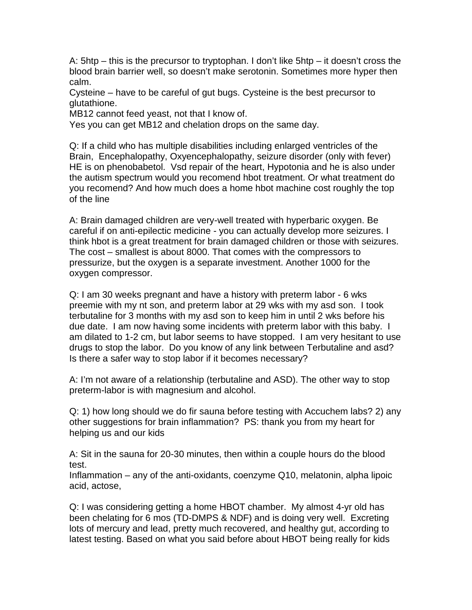A: 5htp – this is the precursor to tryptophan. I don't like 5htp – it doesn't cross the blood brain barrier well, so doesn't make serotonin. Sometimes more hyper then calm.

Cysteine – have to be careful of gut bugs. Cysteine is the best precursor to glutathione.

MB12 cannot feed yeast, not that I know of.

Yes you can get MB12 and chelation drops on the same day.

Q: If a child who has multiple disabilities including enlarged ventricles of the Brain, Encephalopathy, Oxyencephalopathy, seizure disorder (only with fever) HE is on phenobabetol. Vsd repair of the heart, Hypotonia and he is also under the autism spectrum would you recomend hbot treatment. Or what treatment do you recomend? And how much does a home hbot machine cost roughly the top of the line

A: Brain damaged children are very-well treated with hyperbaric oxygen. Be careful if on anti-epilectic medicine - you can actually develop more seizures. I think hbot is a great treatment for brain damaged children or those with seizures. The cost – smallest is about 8000. That comes with the compressors to pressurize, but the oxygen is a separate investment. Another 1000 for the oxygen compressor.

Q: I am 30 weeks pregnant and have a history with preterm labor - 6 wks preemie with my nt son, and preterm labor at 29 wks with my asd son. I took terbutaline for 3 months with my asd son to keep him in until 2 wks before his due date. I am now having some incidents with preterm labor with this baby. I am dilated to 1-2 cm, but labor seems to have stopped. I am very hesitant to use drugs to stop the labor. Do you know of any link between Terbutaline and asd? Is there a safer way to stop labor if it becomes necessary?

A: I'm not aware of a relationship (terbutaline and ASD). The other way to stop preterm-labor is with magnesium and alcohol.

Q: 1) how long should we do fir sauna before testing with Accuchem labs? 2) any other suggestions for brain inflammation? PS: thank you from my heart for helping us and our kids

A: Sit in the sauna for 20-30 minutes, then within a couple hours do the blood test.

Inflammation – any of the anti-oxidants, coenzyme Q10, melatonin, alpha lipoic acid, actose,

Q: I was considering getting a home HBOT chamber. My almost 4-yr old has been chelating for 6 mos (TD-DMPS & NDF) and is doing very well. Excreting lots of mercury and lead, pretty much recovered, and healthy gut, according to latest testing. Based on what you said before about HBOT being really for kids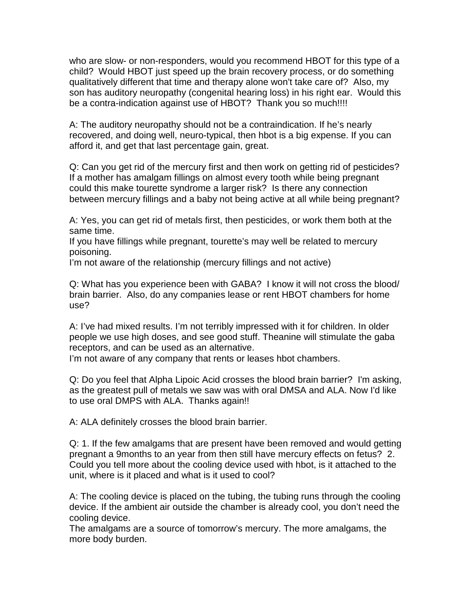who are slow- or non-responders, would you recommend HBOT for this type of a child? Would HBOT just speed up the brain recovery process, or do something qualitatively different that time and therapy alone won't take care of? Also, my son has auditory neuropathy (congenital hearing loss) in his right ear. Would this be a contra-indication against use of HBOT? Thank you so much!!!!

A: The auditory neuropathy should not be a contraindication. If he's nearly recovered, and doing well, neuro-typical, then hbot is a big expense. If you can afford it, and get that last percentage gain, great.

Q: Can you get rid of the mercury first and then work on getting rid of pesticides? If a mother has amalgam fillings on almost every tooth while being pregnant could this make tourette syndrome a larger risk? Is there any connection between mercury fillings and a baby not being active at all while being pregnant?

A: Yes, you can get rid of metals first, then pesticides, or work them both at the same time.

If you have fillings while pregnant, tourette's may well be related to mercury poisoning.

I'm not aware of the relationship (mercury fillings and not active)

Q: What has you experience been with GABA? I know it will not cross the blood/ brain barrier. Also, do any companies lease or rent HBOT chambers for home use?

A: I've had mixed results. I'm not terribly impressed with it for children. In older people we use high doses, and see good stuff. Theanine will stimulate the gaba receptors, and can be used as an alternative.

I'm not aware of any company that rents or leases hbot chambers.

Q: Do you feel that Alpha Lipoic Acid crosses the blood brain barrier? I'm asking, as the greatest pull of metals we saw was with oral DMSA and ALA. Now I'd like to use oral DMPS with ALA. Thanks again!!

A: ALA definitely crosses the blood brain barrier.

Q: 1. If the few amalgams that are present have been removed and would getting pregnant a 9months to an year from then still have mercury effects on fetus? 2. Could you tell more about the cooling device used with hbot, is it attached to the unit, where is it placed and what is it used to cool?

A: The cooling device is placed on the tubing, the tubing runs through the cooling device. If the ambient air outside the chamber is already cool, you don't need the cooling device.

The amalgams are a source of tomorrow's mercury. The more amalgams, the more body burden.